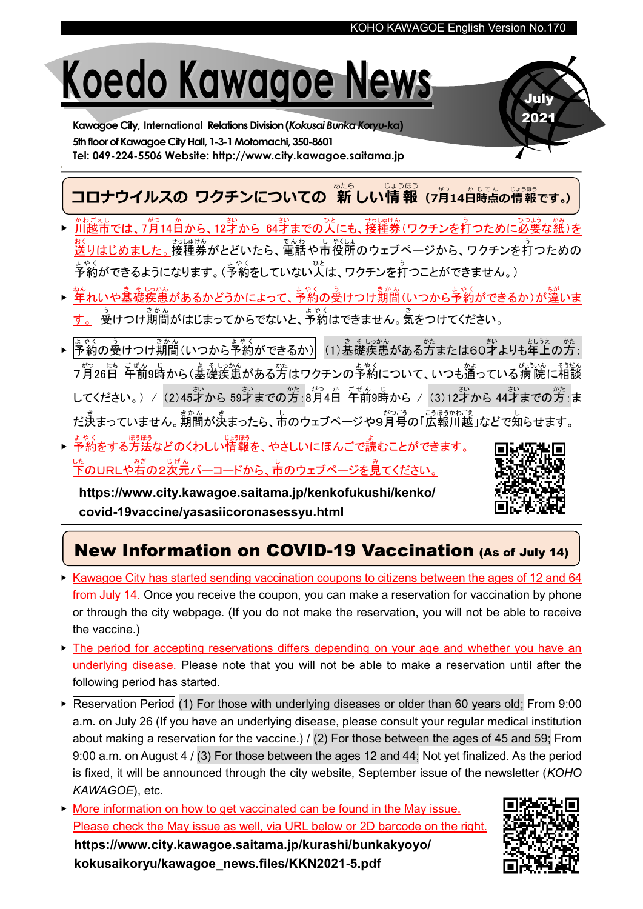# Koedo Kawagoe News

Kawagoe City, International Relations Division(Kokusai Bunka Koryu-ka) 5th floor of Kawagoe City Hall, 1-3-1 Motomachi, 350-8601 Tel: 049-224-5506 Website: http://www.city.kawagoe.saitama.jp

コロナウイルスの ワクチンについての 新しい情報 (フ月14白時点の情報です。) あたら じょうほう かじて

- ▶ 川越市 かわごえし では、 7月14日 。<br>から、12才から 64才 までの、<br>までの人 にも、接種券 せっしゅけん (ワクチンを打 う つために必要 ひつよう な紙 かみ )を 送 おく りはじめました。。接種券がとどいたら、電話や市役所のウェブページから、ワクチンを打つための ょゃく<br>予約ができるようになります。(予約をしていない人は、ワクチンを打つことができません。)
- ▶ <sup>ねん</sup><br>▶ <mark>年れいや基礎疾患</mark> があるかどうかによって、<sup>キャく</sup>のうけつけ期間(いつから予約ができるか)が違いま す。 <sup>う</sup>いつけ,前。<br>す。 受けつけ,期間がはじまってからでないと、予約はできません。気をつけてください。
- ▶ <mark>予約の受けつけ期間(いつから予約ができるか)</mark>(1)基礎疾患がある方または60才よりも年上の方: 7月 がつ 26日 にち 午前 ご ぜ ん 9時 じ から(基礎 き そ 疾患 しっかん がある方 かた はワクチンの予約 よ や く について、いつも通 かよ っている病 院 びょういん に相談 そうだん してください。) / (2)45才から 59才までの方 :8月4日 午前9時から / (3)12才から 44才までの方 :ま だ決まっていません。<sub>期間が決まったら、市のウェブページや9月号の「広報川越」などで知らせます。</sub>
- ▶ <u>予約をする方法などのくわしい情報を、やさしいにほんごで読</u> むことができます。 <sub>した</sub><br>下のURLや右の2次元バーコードから、市のウェブページを見てください。

https://www.city.kawagoe.saitama.jp/kenkofukushi/kenko/ covid-19vaccine/yasasiicoronasessyu.html



July 2021

## New Information on COVID-19 Vaccination (As of July 14)

- ▶ Kawagoe City has started sending vaccination coupons to citizens between the ages of 12 and 64 from July 14. Once you receive the coupon, you can make a reservation for vaccination by phone or through the city webpage. (If you do not make the reservation, you will not be able to receive the vaccine.)
- ▶ The period for accepting reservations differs depending on your age and whether you have an underlying disease. Please note that you will not be able to make a reservation until after the following period has started.
- ▶ Reservation Period (1) For those with underlying diseases or older than 60 years old; From 9:00 a.m. on July 26 (If you have an underlying disease, please consult your regular medical institution about making a reservation for the vaccine.) / (2) For those between the ages of 45 and 59; From 9:00 a.m. on August 4 / (3) For those between the ages 12 and 44; Not yet finalized. As the period is fixed, it will be announced through the city website, September issue of the newsletter (KOHO KAWAGOE), etc.
- ▶ More information on how to get vaccinated can be found in the May issue. Please check the May issue as well, via URL below or 2D barcode on the right. https://www.city.kawagoe.saitama.jp/kurashi/bunkakyoyo/ kokusaikoryu/kawagoe\_news.files/KKN2021-5.pdf